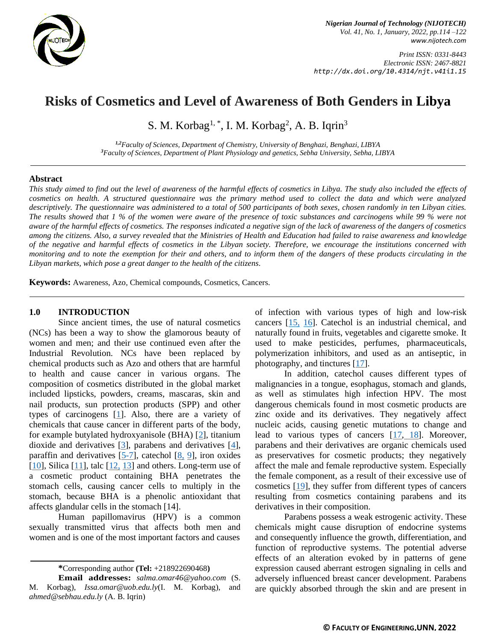

*Print ISSN: 0331-8443 Electronic ISSN: 2467-8821 http://dx.doi.org/10.4314/njt.v41i1.15*

# **Risks of Cosmetics and Level of Awareness of Both Genders in Libya**

S. M. Korbag<sup>1, \*</sup>, I. M. Korbag<sup>2</sup>, A. B. Iqrin<sup>3</sup>

*1,2Faculty of Sciences, Department of Chemistry, University of Benghazi, Benghazi, LIBYA <sup>3</sup>Faculty of Sciences, Department of Plant Physiology and genetics, Sebha University, Sebha, LIBYA*

#### **Abstract**

*This study aimed to find out the level of awareness of the harmful effects of cosmetics in Libya. The study also included the effects of cosmetics on health. A structured questionnaire was the primary method used to collect the data and which were analyzed descriptively. The questionnaire was administered to a total of 500 participants of both sexes, chosen randomly in ten Libyan cities. The results showed that 1 % of the women were aware of the presence of toxic substances and carcinogens while 99 % were not aware of the harmful effects of cosmetics. The responses indicated a negative sign of the lack of awareness of the dangers of cosmetics among the citizens. Also, a survey revealed that the Ministries of Health and Education had failed to raise awareness and knowledge of the negative and harmful effects of cosmetics in the Libyan society. Therefore, we encourage the institutions concerned with monitoring and to note the exemption for their and others, and to inform them of the dangers of these products circulating in the Libyan markets, which pose a great danger to the health of the citizens.*

**Keywords:** Awareness, Azo, Chemical compounds, Cosmetics, Cancers.

#### **1.0 INTRODUCTION**

Since ancient times, the use of natural cosmetics (NCs) has been a way to show the glamorous beauty of women and men; and their use continued even after the Industrial Revolution. NCs have been replaced by chemical products such as Azo and others that are harmful to health and cause cancer in various organs. The composition of cosmetics distributed in the global market included lipsticks, powders, creams, mascaras, skin and nail products, sun protection products (SPP) and other types of carcinogens [\[1\]](#page-7-0). Also, there are a variety of chemicals that cause cancer in different parts of the body, for example butylated hydroxyanisole (BHA) [\[2\]](#page-7-1), titanium dioxide and derivatives [\[3\]](#page-7-2), parabens and derivatives [\[4\]](#page-7-3), paraffin and derivatives  $[5-7]$ , catechol  $[8, 9]$  $[8, 9]$  $[8, 9]$ , iron oxides  $[10]$ , Silica  $[11]$ , talc  $[12, 13]$  $[12, 13]$  $[12, 13]$  and others. Long-term use of a cosmetic product containing BHA penetrates the stomach cells, causing cancer cells to multiply in the stomach, because BHA is a phenolic antioxidant that affects glandular cells in the stomach [14].

Human papillomavirus (HPV) is a common sexually transmitted virus that affects both men and women and is one of the most important factors and causes

**\***Corresponding author **[\(Te](mailto:samnnaemeka.ugwu@unn.edu.ng)l:** +218922690468**)**

of infection with various types of high and low-risk cancers [\[15,](#page-8-1) [16\]](#page-8-2). Catechol is an industrial chemical, and naturally found in fruits, vegetables and cigarette smoke. It used to make pesticides, perfumes, pharmaceuticals, polymerization inhibitors, and used as an antiseptic, in photography, and tinctures [\[17\]](#page-8-3).

In addition, catechol causes different types of malignancies in a tongue, esophagus, stomach and glands, as well as stimulates high infection HPV. The most dangerous chemicals found in most cosmetic products are zinc oxide and its derivatives. They negatively affect nucleic acids, causing genetic mutations to change and lead to various types of cancers  $[17, 18]$  $[17, 18]$  $[17, 18]$ . Moreover, parabens and their derivatives are organic chemicals used as preservatives for cosmetic products; they negatively affect the male and female reproductive system. Especially the female component, as a result of their excessive use of cosmetics [\[19\]](#page-8-5), they suffer from different types of cancers resulting from cosmetics containing parabens and its derivatives in their composition.

Parabens possess a weak estrogenic activity. These chemicals might cause disruption of endocrine systems and consequently influence the growth, differentiation, and function of reproductive systems. The potential adverse effects of an alteration evoked by in patterns of gene expression caused aberrant estrogen signaling in cells and adversely influenced breast cancer development. Parabens are quickly absorbed through the skin and are present in

**Email addresses:** *[salma.omar46@yahoo.com](mailto:salma.omar46@yahoo.com)* (S. M. Korbag), *[Issa.omar@uob.edu.ly](mailto:Issa.omar@uob.edu.ly)*(I. M. Korbag), and *[ahmed@sebhau.edu.ly](mailto:ahmed@sebhau.edu.ly)* (A. B. Iqrin)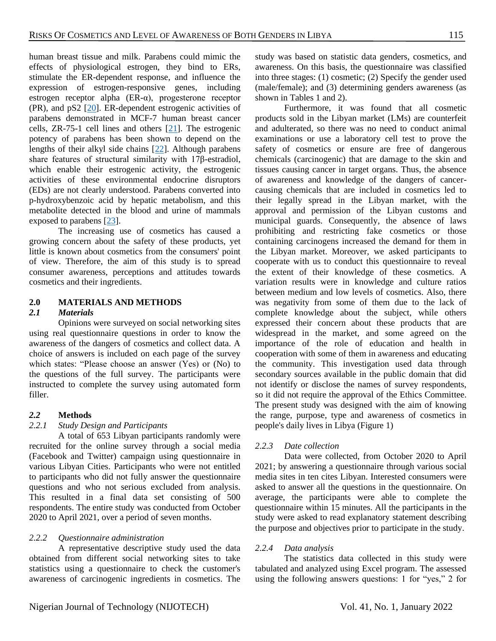human breast tissue and milk. Parabens could mimic the effects of physiological estrogen, they bind to ERs, stimulate the ER-dependent response, and influence the expression of estrogen-responsive genes, including estrogen receptor alpha (ER-α), progesterone receptor (PR), and pS2 [\[20\]](#page-8-6). ER-dependent estrogenic activities of parabens demonstrated in MCF-7 human breast cancer cells, ZR-75-1 cell lines and others [\[21\]](#page-8-7). The estrogenic potency of parabens has been shown to depend on the lengths of their alkyl side chains [\[22\]](#page-8-8). Although parabens share features of structural similarity with 17β-estradiol, which enable their estrogenic activity, the estrogenic activities of these environmental endocrine disruptors (EDs) are not clearly understood. Parabens converted into p-hydroxybenzoic acid by hepatic metabolism, and this metabolite detected in the blood and urine of mammals exposed to parabens [\[23\]](#page-8-9).

The increasing use of cosmetics has caused a growing concern about the safety of these products, yet little is known about cosmetics from the consumers' point of view. Therefore, the aim of this study is to spread consumer awareness, perceptions and attitudes towards cosmetics and their ingredients.

# **2.0 MATERIALS AND METHODS**

## *2.1 Materials*

Opinions were surveyed on social networking sites using real questionnaire questions in order to know the awareness of the dangers of cosmetics and collect data. A choice of answers is included on each page of the survey which states: "Please choose an answer (Yes) or (No) to the questions of the full survey. The participants were instructed to complete the survey using automated form filler.

# *2.2* **Methods**

## *2.2.1 Study Design and Participants*

A total of 653 Libyan participants randomly were recruited for the online survey through a social media (Facebook and Twitter) campaign using questionnaire in various Libyan Cities. Participants who were not entitled to participants who did not fully answer the questionnaire questions and who not serious excluded from analysis. This resulted in a final data set consisting of 500 respondents. The entire study was conducted from October 2020 to April 2021, over a period of seven months.

## *2.2.2 Questionnaire administration*

A representative descriptive study used the data obtained from different social networking sites to take statistics using a questionnaire to check the customer's awareness of carcinogenic ingredients in cosmetics. The

study was based on statistic data genders, cosmetics, and awareness. On this basis, the questionnaire was classified into three stages: (1) cosmetic; (2) Specify the gender used (male/female); and (3) determining genders awareness (as shown in Tables 1 and 2).

Furthermore, it was found that all cosmetic products sold in the Libyan market (LMs) are counterfeit and adulterated, so there was no need to conduct animal examinations or use a laboratory cell test to prove the safety of cosmetics or ensure are free of dangerous chemicals (carcinogenic) that are damage to the skin and tissues causing cancer in target organs. Thus, the absence of awareness and knowledge of the dangers of cancercausing chemicals that are included in cosmetics led to their legally spread in the Libyan market, with the approval and permission of the Libyan customs and municipal guards. Consequently, the absence of laws prohibiting and restricting fake cosmetics or those containing carcinogens increased the demand for them in the Libyan market. Moreover, we asked participants to cooperate with us to conduct this questionnaire to reveal the extent of their knowledge of these cosmetics. A variation results were in knowledge and culture ratios between medium and low levels of cosmetics. Also, there was negativity from some of them due to the lack of complete knowledge about the subject, while others expressed their concern about these products that are widespread in the market, and some agreed on the importance of the role of education and health in cooperation with some of them in awareness and educating the community. This investigation used data through secondary sources available in the public domain that did not identify or disclose the names of survey respondents, so it did not require the approval of the Ethics Committee. The present study was designed with the aim of knowing the range, purpose, type and awareness of cosmetics in people's daily lives in Libya (Figure 1)

#### *2.2.3 Date collection*

Data were collected, from October 2020 to April 2021; by answering a questionnaire through various social media sites in ten cites Libyan. Interested consumers were asked to answer all the questions in the questionnaire. On average, the participants were able to complete the questionnaire within 15 minutes. All the participants in the study were asked to read explanatory statement describing the purpose and objectives prior to participate in the study.

## *2.2.4 Data analysis*

The statistics data collected in this study were tabulated and analyzed using Excel program. The assessed using the following answers questions: 1 for "yes," 2 for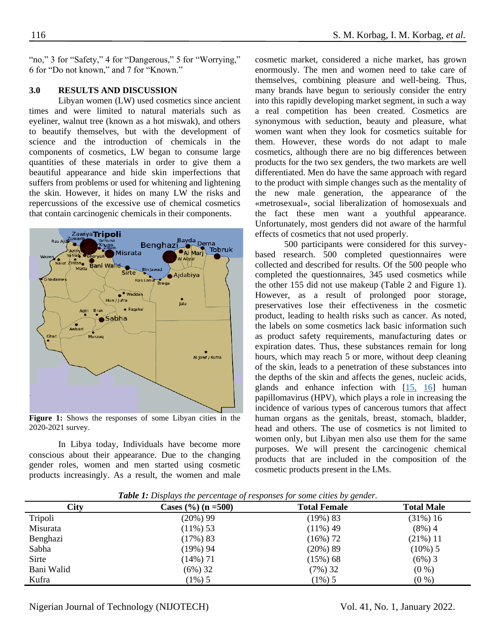"no," 3 for "Safety," 4 for "Dangerous," 5 for "Worrying," 6 for "Do not known," and 7 for "Known."

#### **3.0 RESULTS AND DISCUSSION**

Libyan women (LW) used cosmetics since ancient times and were limited to natural materials such as eyeliner, walnut tree (known as a hot miswak), and others to beautify themselves, but with the development of science and the introduction of chemicals in the components of cosmetics, LW began to consume large quantities of these materials in order to give them a beautiful appearance and hide skin imperfections that suffers from problems or used for whitening and lightening the skin. However, it hides on many LW the risks and repercussions of the excessive use of chemical cosmetics that contain carcinogenic chemicals in their components.



**Figure 1:** Shows the responses of some Libyan cities in the 2020-2021 survey.

In Libya today, Individuals have become more conscious about their appearance. Due to the changing gender roles, women and men started using cosmetic products increasingly. As a result, the women and male

cosmetic market, considered a niche market, has grown enormously. The men and women need to take care of themselves, combining pleasure and well-being. Thus, many brands have begun to seriously consider the entry into this rapidly developing market segment, in such a way a real competition has been created. Cosmetics are synonymous with seduction, beauty and pleasure, what women want when they look for cosmetics suitable for them. However, these words do not adapt to male cosmetics, although there are no big differences between products for the two sex genders, the two markets are well differentiated. Men do have the same approach with regard to the product with simple changes such as the mentality of the new male generation, the appearance of the «metrosexual», social liberalization of homosexuals and the fact these men want a youthful appearance. Unfortunately, most genders did not aware of the harmful effects of cosmetics that not used properly.

500 participants were considered for this surveybased research. 500 completed questionnaires were collected and described for results. Of the 500 people who completed the questionnaires, 345 used cosmetics while the other 155 did not use makeup (Table 2 and Figure 1). However, as a result of prolonged poor storage, preservatives lose their effectiveness in the cosmetic product, leading to health risks such as cancer. As noted, the labels on some cosmetics lack basic information such as product safety requirements, manufacturing dates or expiration dates. Thus, these substances remain for long hours, which may reach 5 or more, without deep cleaning of the skin, leads to a penetration of these substances into the depths of the skin and affects the genes, nucleic acids, glands and enhance infection with [\[15,](#page-8-1) [16\]](#page-8-2) human papillomavirus (HPV), which plays a role in increasing the incidence of various types of cancerous tumors that affect human organs as the genitals, breast, stomach, bladder, head and others. The use of cosmetics is not limited to women only, but Libyan men also use them for the same purposes. We will present the carcinogenic chemical products that are included in the composition of the cosmetic products present in the LMs.

| City | Cases $(\%)(n = 500)$ | <b>Total Female</b> | <b>Total Male</b> |
|------|-----------------------|---------------------|-------------------|
|      | (20%) 99              | ,19%) 83            | $(31\%) 16$       |

| UU         | $\mathcal{L}$ ascs (707 (11 – 7007 | TULAI FUIILIU | I VLAI IVIAIC |
|------------|------------------------------------|---------------|---------------|
| Tripoli    | $(20\%) 99$                        | $(19\%) 83$   | $(31\%) 16$   |
| Misurata   | $(11\%)$ 53                        | $(11\%) 49$   | $(8\%) 4$     |
| Benghazi   | $(17\%) 83$                        | $(16\%) 72$   | $(21\%) 11$   |
| Sabha      | (19%) 94                           | $(20\%) 89$   | $(10\%)$ 5    |
| Sirte      | $(14\%)$ 71                        | $(15\%) 68$   | $(6\%)$ 3     |
| Bani Walid | $(6\%)$ 32                         | $(7\%)$ 32    | $(0\%)$       |
| Kufra      | $(1\%)$ 5                          | $1\%$ ) 5     | $(0\%)$       |
|            |                                    |               |               |

*Table 1: Displays the percentage of responses for some cities by gender.*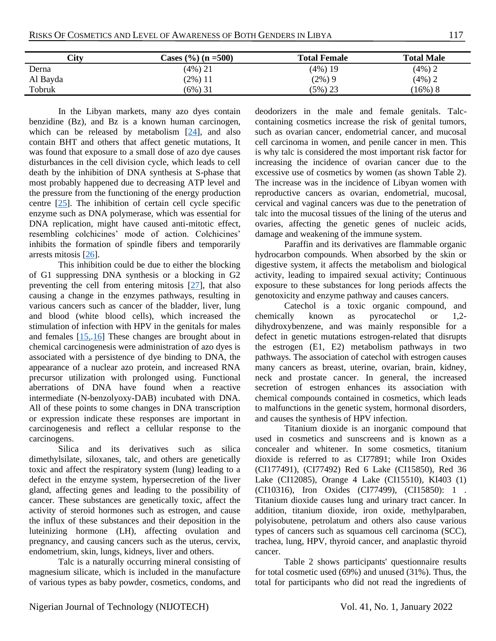| City     | Cases $(\%)(n = 500)$ | <b>Total Female</b> | <b>Total Male</b> |
|----------|-----------------------|---------------------|-------------------|
| Derna    | (4%) 21               | $(4\%)$ 19          | $(4%)$ 2          |
| Al Bayda | (2%)11                | $(2\%) 9$           | $(4\%)$ 2         |
| Tobruk   | $(6\%)$ 31            | $(5\%) 23$          | $16\%)$<br>8      |

In the Libyan markets, many azo dyes contain benzidine (Bz), and Bz is a known human carcinogen, which can be released by metabolism [\[24\]](#page-8-10), and also contain BHT and others that affect genetic mutations, It was found that exposure to a small dose of azo dye causes disturbances in the cell division cycle, which leads to cell death by the inhibition of DNA synthesis at S-phase that most probably happened due to decreasing ATP level and the pressure from the functioning of the energy production centre [\[25\]](#page-8-11). The inhibition of certain cell cycle specific enzyme such as DNA polymerase, which was essential for DNA replication, might have caused anti-mitotic effect, resembling colchicines' mode of action. Colchicines' inhibits the formation of spindle fibers and temporarily arrests mitosis [\[26\]](#page-8-12).

This inhibition could be due to either the blocking of G1 suppressing DNA synthesis or a blocking in G2 preventing the cell from entering mitosis [\[27\]](#page-8-13), that also causing a change in the enzymes pathways, resulting in various cancers such as cancer of the bladder, liver, lung and blood (white blood cells), which increased the stimulation of infection with HPV in the genitals for males and females  $[15, 16]$  $[15, 16]$  These changes are brought about in chemical carcinogenesis were administration of azo dyes is associated with a persistence of dye binding to DNA, the appearance of a nuclear azo protein, and increased RNA precursor utilization with prolonged using. Functional aberrations of DNA have found when a reactive intermediate (N-benzolyoxy-DAB) incubated with DNA. All of these points to some changes in DNA transcription or expression indicate these responses are important in carcinogenesis and reflect a cellular response to the carcinogens.

Silica and its derivatives such as silica dimethylsilate, siloxanes, talc, and others are genetically toxic and affect the respiratory system (lung) leading to a defect in the enzyme system, hypersecretion of the liver gland, affecting genes and leading to the possibility of cancer. These substances are genetically toxic, affect the activity of steroid hormones such as estrogen, and cause the influx of these substances and their deposition in the luteinizing hormone (LH), affecting ovulation and pregnancy, and causing cancers such as the uterus, cervix, endometrium, skin, lungs, kidneys, liver and others.

Talc is a naturally occurring mineral consisting of magnesium silicate, which is included in the manufacture of various types as baby powder, cosmetics, condoms, and

deodorizers in the male and female genitals. Talccontaining cosmetics increase the risk of genital tumors, such as ovarian cancer, endometrial cancer, and mucosal cell carcinoma in women, and penile cancer in men. This is why talc is considered the most important risk factor for increasing the incidence of ovarian cancer due to the excessive use of cosmetics by women (as shown Table 2). The increase was in the incidence of Libyan women with reproductive cancers as ovarian, endometrial, mucosal, cervical and vaginal cancers was due to the penetration of talc into the mucosal tissues of the lining of the uterus and ovaries, affecting the genetic genes of nucleic acids, damage and weakening of the immune system.

Paraffin and its derivatives are flammable organic hydrocarbon compounds. When absorbed by the skin or digestive system, it affects the metabolism and biological activity, leading to impaired sexual activity; Continuous exposure to these substances for long periods affects the genotoxicity and enzyme pathway and causes cancers.

Catechol is a toxic organic compound, and chemically known as pyrocatechol or 1,2 dihydroxybenzene, and was mainly responsible for a defect in genetic mutations estrogen-related that disrupts the estrogen (E1, E2) metabolism pathways in two pathways. The association of catechol with estrogen causes many cancers as breast, uterine, ovarian, brain, kidney, neck and prostate cancer. In general, the increased secretion of estrogen enhances its association with chemical compounds contained in cosmetics, which leads to malfunctions in the genetic system, hormonal disorders, and causes the synthesis of HPV infection.

Titanium dioxide is an inorganic compound that used in cosmetics and sunscreens and is known as a concealer and whitener. In some cosmetics, titanium dioxide is referred to as CI77891; while Iron Oxides (CI177491), (CI77492) Red 6 Lake (CI15850), Red 36 Lake (CI12085), Orange 4 Lake (CI15510), KI403 (1) (CI10316), Iron Oxides (CI77499), (CI15850): 1 . Titanium dioxide causes lung and urinary tract cancer. In addition, titanium dioxide, iron oxide, methylparaben, polyisobutene, petrolatum and others also cause various types of cancers such as squamous cell carcinoma (SCC), trachea, lung, HPV, thyroid cancer, and anaplastic thyroid cancer.

Table 2 shows participants' questionnaire results for total cosmetic used (69%) and unused (31%). Thus, the total for participants who did not read the ingredients of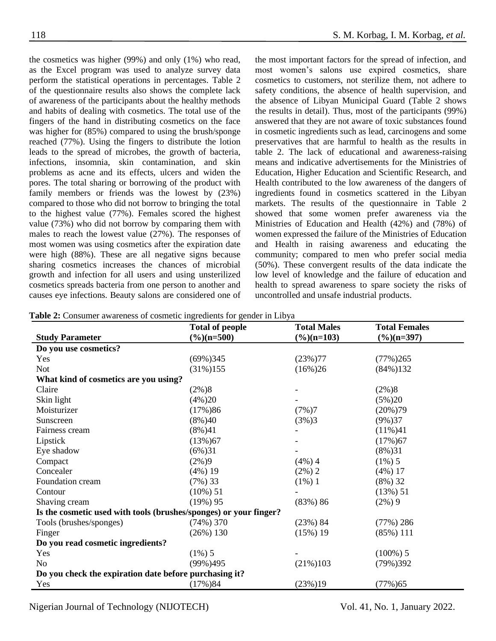the cosmetics was higher (99%) and only (1%) who read, as the Excel program was used to analyze survey data perform the statistical operations in percentages. Table 2 of the questionnaire results also shows the complete lack of awareness of the participants about the healthy methods and habits of dealing with cosmetics. The total use of the fingers of the hand in distributing cosmetics on the face was higher for (85%) compared to using the brush/sponge reached (77%). Using the fingers to distribute the lotion leads to the spread of microbes, the growth of bacteria, infections, insomnia, skin contamination, and skin problems as acne and its effects, ulcers and widen the pores. The total sharing or borrowing of the product with family members or friends was the lowest by (23%) compared to those who did not borrow to bringing the total to the highest value (77%). Females scored the highest value (73%) who did not borrow by comparing them with males to reach the lowest value (27%). The responses of most women was using cosmetics after the expiration date were high (88%). These are all negative signs because sharing cosmetics increases the chances of microbial growth and infection for all users and using unsterilized cosmetics spreads bacteria from one person to another and causes eye infections. Beauty salons are considered one of the most important factors for the spread of infection, and most women's salons use expired cosmetics, share cosmetics to customers, not sterilize them, not adhere to safety conditions, the absence of health supervision, and the absence of Libyan Municipal Guard (Table 2 shows the results in detail). Thus, most of the participants (99%) answered that they are not aware of toxic substances found in cosmetic ingredients such as lead, carcinogens and some preservatives that are harmful to health as the results in table 2. The lack of educational and awareness-raising means and indicative advertisements for the Ministries of Education, Higher Education and Scientific Research, and Health contributed to the low awareness of the dangers of ingredients found in cosmetics scattered in the Libyan markets. The results of the questionnaire in Table 2 showed that some women prefer awareness via the Ministries of Education and Health (42%) and (78%) of women expressed the failure of the Ministries of Education and Health in raising awareness and educating the community; compared to men who prefer social media (50%). These convergent results of the data indicate the low level of knowledge and the failure of education and health to spread awareness to spare society the risks of uncontrolled and unsafe industrial products.

**Table 2:** Consumer awareness of cosmetic ingredients for gender in Libya

|                                                                   | <b>Total of people</b> | <b>Total Males</b> | <b>Total Females</b>   |  |
|-------------------------------------------------------------------|------------------------|--------------------|------------------------|--|
| <b>Study Parameter</b>                                            | $(\%)(n=500)$          | $(\%)(n=103)$      | $(\frac{6}{6})(n=397)$ |  |
| Do you use cosmetics?                                             |                        |                    |                        |  |
| Yes                                                               | $(69\%)345$            | $(23\%)77$         | $(77\%)265$            |  |
| <b>Not</b>                                                        | $(31\%)155$            | $(16\%)26$         | $(84\%)132$            |  |
| What kind of cosmetics are you using?                             |                        |                    |                        |  |
| Claire                                                            | $(2\%)8$               |                    | $(2\%)8$               |  |
| Skin light                                                        | $(4\%)20$              |                    | $(5\%)20$              |  |
| Moisturizer                                                       | $(17\%)86$             | (7%)7              | $(20\%)$ 79            |  |
| Sunscreen                                                         | $(8\%)40$              | (3%)3              | $(9\%)37$              |  |
| Fairness cream                                                    | $(8\%)41$              |                    | $(11\%)41$             |  |
| Lipstick                                                          | $(13\%)67$             |                    | $(17\%)67$             |  |
| Eye shadow                                                        | $(6\%)31$              |                    | $(8\%)31$              |  |
| Compact                                                           | $(2\%)9$               | $(4\%) 4$          | $(1\%)$ 5              |  |
| Concealer                                                         | $(4\%)$ 19             | $(2\%) 2$          | $(4\%) 17$             |  |
| Foundation cream                                                  | $(7\%)$ 33             | $(1\%)$ 1          | $(8\%)$ 32             |  |
| Contour                                                           | $(10\%) 51$            |                    | (13%) 51               |  |
| Shaving cream                                                     | $(19\%)$ 95            | $(83\%) 86$        | $(2\%) 9$              |  |
| Is the cosmetic used with tools (brushes/sponges) or your finger? |                        |                    |                        |  |
| Tools (brushes/sponges)                                           | $(74\%)$ 370           | (23%) 84           | $(77\%) 286$           |  |
| Finger                                                            | $(26\%) 130$           | $(15\%) 19$        | $(85\%)$ 111           |  |
| Do you read cosmetic ingredients?                                 |                        |                    |                        |  |
| Yes                                                               | $(1\%)$ 5              |                    | $(100\%)$ 5            |  |
| N <sub>0</sub>                                                    | $(99\%)495$            | $(21\%)103$        | $(79\%)392$            |  |
| Do you check the expiration date before purchasing it?            |                        |                    |                        |  |
| Yes                                                               | $(17\%)84$             | (23%)19            | (77%)65                |  |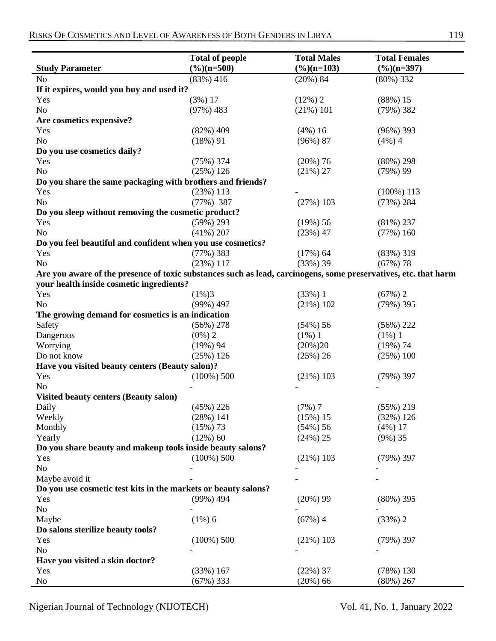|                                                                                                                 | <b>Total of people</b>      | <b>Total Males</b>     | <b>Total Females</b>       |
|-----------------------------------------------------------------------------------------------------------------|-----------------------------|------------------------|----------------------------|
| <b>Study Parameter</b>                                                                                          | $(\%)(n=500)$               | $(\frac{6}{6})(n=103)$ | $(\frac{6}{6})(n=397)$     |
| N <sub>0</sub>                                                                                                  | $(83\%) 416$                | $(20\%) 84$            | $(80\%)$ 332               |
| If it expires, would you buy and used it?                                                                       |                             |                        |                            |
| Yes                                                                                                             | $(3\%) 17$                  | $(12\%)$ 2             | $(88\%) 15$                |
| No                                                                                                              | $(97\%) 483$                | $(21\%) 101$           | $(79\%)$ 382               |
| Are cosmetics expensive?                                                                                        |                             |                        |                            |
| Yes                                                                                                             | $(82\%) 409$                | $(4\%) 16$             | $(96\%)$ 393               |
| No                                                                                                              | $(18\%) 91$                 | $(96\%) 87$            | $(4\%) 4$                  |
| Do you use cosmetics daily?                                                                                     |                             |                        |                            |
| Yes                                                                                                             | (75%) 374                   | $(20\%) 76$            | $(80\%) 298$               |
| N <sub>o</sub>                                                                                                  | (25%) 126                   | $(21\%) 27$            | $(79\%)$ 99                |
| Do you share the same packaging with brothers and friends?                                                      |                             |                        |                            |
| Yes<br>N <sub>o</sub>                                                                                           | $(23%)$ 113<br>$(77\%)$ 387 | $(27%)$ 103            | $(100\%)$ 113<br>(73%) 284 |
| Do you sleep without removing the cosmetic product?                                                             |                             |                        |                            |
| Yes                                                                                                             | $(59\%) 293$                | $(19\%) 56$            | $(81\%) 237$               |
| No                                                                                                              | $(41\%) 207$                | (23%) 47               | $(77\%) 160$               |
| Do you feel beautiful and confident when you use cosmetics?                                                     |                             |                        |                            |
| Yes                                                                                                             | $(77\%)$ 383                | $(17\%) 64$            | $(83\%)$ 319               |
| N <sub>o</sub>                                                                                                  | (23%) 117                   | (33%) 39               | $(67\%)$ 78                |
| Are you aware of the presence of toxic substances such as lead, carcinogens, some preservatives, etc. that harm |                             |                        |                            |
| your health inside cosmetic ingredients?                                                                        |                             |                        |                            |
| Yes                                                                                                             | $(1\%)3$                    | $(33%)$ 1              | $(67%)$ 2                  |
| N <sub>o</sub>                                                                                                  | $(99\%) 497$                | $(21\%) 102$           | $(79\%)$ 395               |
| The growing demand for cosmetics is an indication                                                               |                             |                        |                            |
| Safety                                                                                                          | $(56\%)$ 278                | $(54\%) 56$            | $(56\%) 222$               |
| Dangerous                                                                                                       | $(0\%) 2$                   | $(1\%)$ 1              | $(1\%) 1$                  |
| Worrying                                                                                                        | $(19\%) 94$                 | $(20\%)20$             | $(19\%) 74$                |
| Do not know                                                                                                     | (25%) 126                   | (25%) 26               | $(25\%) 100$               |
| Have you visited beauty centers (Beauty salon)?                                                                 |                             |                        |                            |
| Yes                                                                                                             | $(100\%) 500$               | $(21\%)$ 103           | $(79\%)$ 397               |
| N <sub>o</sub>                                                                                                  |                             |                        |                            |
| <b>Visited beauty centers (Beauty salon)</b>                                                                    |                             |                        |                            |
| Daily                                                                                                           | $(45%)$ 226                 | (7%)7                  | $(55\%)$ 219               |
| Weekly                                                                                                          | (28%) 141                   | $(15\%) 15$            | (32%) 126                  |
| Monthly                                                                                                         | $(15\%)$ 73                 | $(54\%) 56$            | $(4\%) 17$                 |
| Yearly                                                                                                          | $(12\%) 60$                 | (24%) 25               | $(9\%) 35$                 |
| Do you share beauty and makeup tools inside beauty salons?                                                      |                             |                        |                            |
| Yes                                                                                                             | $(100\%) 500$               | $(21\%)$ 103           | $(79\%)$ 397               |
| N <sub>o</sub>                                                                                                  |                             |                        |                            |
| Maybe avoid it<br>Do you use cosmetic test kits in the markets or beauty salons?                                |                             |                        |                            |
| Yes                                                                                                             | $(99\%) 494$                | $(20\%) 99$            | $(80\%)$ 395               |
| No                                                                                                              |                             |                        |                            |
| Maybe                                                                                                           | $(1\%)$ 6                   | (67%)4                 | $(33%)$ 2                  |
| Do salons sterilize beauty tools?                                                                               |                             |                        |                            |
| Yes                                                                                                             | $(100\%) 500$               | $(21\%)$ 103           | $(79\%)$ 397               |
| No                                                                                                              |                             |                        |                            |
| Have you visited a skin doctor?                                                                                 |                             |                        |                            |
| Yes                                                                                                             | (33%) 167                   | $(22\%)$ 37            | $(78\%)$ 130               |
| No                                                                                                              | $(67\%)$ 333                | $(20\%) 66$            | $(80\%) 267$               |
|                                                                                                                 |                             |                        |                            |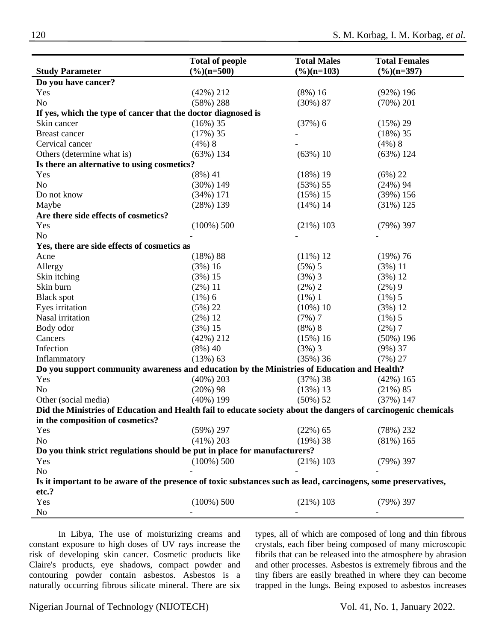|                                                                                                                | <b>Total of people</b>        | <b>Total Males</b>     | <b>Total Females</b>   |
|----------------------------------------------------------------------------------------------------------------|-------------------------------|------------------------|------------------------|
| <b>Study Parameter</b>                                                                                         | $\frac{\frac{9}{6}}{n} = 500$ | $(\frac{6}{6})(n=103)$ | $(\frac{6}{6})(n=397)$ |
| Do you have cancer?                                                                                            |                               |                        |                        |
| Yes                                                                                                            | $(42\%)$ 212                  | $(8\%) 16$             | $(92\%)$ 196           |
| N <sub>o</sub>                                                                                                 | $(58\%)$ 288                  | $(30\%) 87$            | $(70\%) 201$           |
| If yes, which the type of cancer that the doctor diagnosed is                                                  |                               |                        |                        |
| Skin cancer                                                                                                    | $(16\%)$ 35                   | (37%) 6                | $(15\%) 29$            |
| Breast cancer                                                                                                  | $(17\%)$ 35                   |                        | (18%)35                |
| Cervical cancer                                                                                                | $(4\%)$ 8                     |                        | $(4\%)$ 8              |
| Others (determine what is)                                                                                     | $(63\%)$ 134                  | $(63\%) 10$            | (63%) 124              |
| Is there an alternative to using cosmetics?                                                                    |                               |                        |                        |
| Yes                                                                                                            | $(8\%) 41$                    | $(18\%) 19$            | $(6\%) 22$             |
| N <sub>o</sub>                                                                                                 | $(30\%) 149$                  | $(53\%) 55$            | $(24\%)$ 94            |
| Do not know                                                                                                    | $(34\%) 171$                  | $(15\%) 15$            | (39%) 156              |
| Maybe                                                                                                          | (28%) 139                     | $(14\%) 14$            | $(31\%) 125$           |
| Are there side effects of cosmetics?                                                                           |                               |                        |                        |
| Yes                                                                                                            | $(100\%) 500$                 | $(21\%)$ 103           | $(79\%)$ 397           |
| N <sub>o</sub>                                                                                                 |                               |                        |                        |
| Yes, there are side effects of cosmetics as                                                                    |                               |                        |                        |
| Acne                                                                                                           | $(18\%) 88$                   | $(11\%) 12$            | $(19\%) 76$            |
| Allergy                                                                                                        | (3%) 16                       | $(5\%) 5$              | $(3\%) 11$             |
| Skin itching                                                                                                   | $(3\%) 15$                    | $(3%)$ 3               | (3%) 12                |
| Skin burn                                                                                                      | $(2\%) 11$                    | $(2\%) 2$              | $(2\%) 9$              |
| <b>Black spot</b>                                                                                              | $(1\%)$ 6                     | $(1\%) 1$              | $(1\%)$ 5              |
| Eyes irritation                                                                                                | $(5\%) 22$                    | $(10\%) 10$            | (3%) 12                |
| Nasal irritation                                                                                               | $(2\%) 12$                    | (7%)7                  | $(1\%)$ 5              |
| Body odor                                                                                                      | (3%) 15                       | $(8\%)$ 8              | $(2\%) 7$              |
| Cancers                                                                                                        | $(42\%)$ 212                  | (15%)16                | $(50\%)$ 196           |
| Infection                                                                                                      | $(8\%) 40$                    | $(3%)$ 3               | $(9\%)$ 37             |
| Inflammatory                                                                                                   | $(13\%) 63$                   | $(35\%)$ 36            | $(7\%) 27$             |
| Do you support community awareness and education by the Ministries of Education and Health?                    |                               |                        |                        |
| Yes                                                                                                            | $(40\%) 203$                  | $(37%)$ 38             | $(42\%)$ 165           |
| N <sub>o</sub>                                                                                                 | $(20\%) 98$                   | $(13%)$ 13             | $(21\%) 85$            |
| Other (social media)                                                                                           | $(40\%)$ 199                  | $(50\%) 52$            | $(37%)$ 147            |
| Did the Ministries of Education and Health fail to educate society about the dangers of carcinogenic chemicals |                               |                        |                        |
| in the composition of cosmetics?                                                                               |                               |                        |                        |
| Yes                                                                                                            | $(59\%) 297$                  | $(22\%) 65$            | (78%) 232              |
| N <sub>o</sub>                                                                                                 | $(41\%)$ 203                  | $(19\%)$ 38            | $(81\%) 165$           |
| Do you think strict regulations should be put in place for manufacturers?                                      |                               |                        |                        |
| Yes                                                                                                            | $(100\%) 500$                 | $(21\%)$ 103           | $(79\%)$ 397           |
| N <sub>o</sub>                                                                                                 |                               |                        |                        |
| Is it important to be aware of the presence of toxic substances such as lead, carcinogens, some preservatives, |                               |                        |                        |
| etc.?                                                                                                          |                               |                        |                        |
| Yes                                                                                                            | $(100\%) 500$                 | $(21\%)$ 103           | $(79\%)$ 397           |
| N <sub>o</sub>                                                                                                 |                               |                        |                        |

In Libya, The use of moisturizing creams and constant exposure to high doses of UV rays increase the risk of developing skin cancer. Cosmetic products like Claire's products, eye shadows, compact powder and contouring powder contain asbestos. Asbestos is a naturally occurring fibrous silicate mineral. There are six

types, all of which are composed of long and thin fibrous crystals, each fiber being composed of many microscopic fibrils that can be released into the atmosphere by abrasion and other processes. Asbestos is extremely fibrous and the tiny fibers are easily breathed in where they can become trapped in the lungs. Being exposed to asbestos increases

Nigerian Journal of Technology (NIJOTECH) Vol. 41, No. 1, January 2022.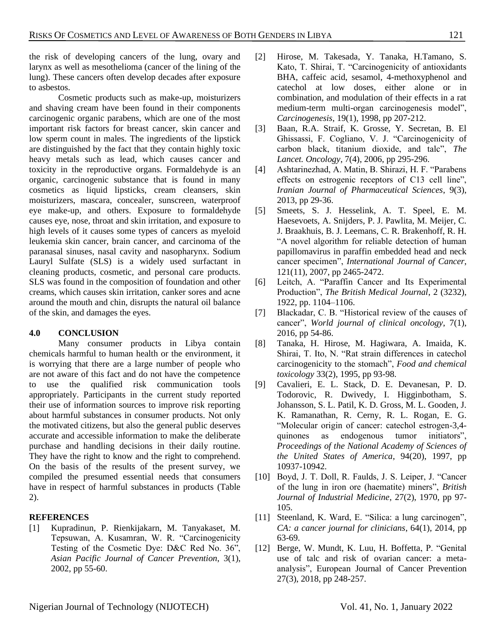the risk of developing cancers of the lung, ovary and larynx as well as mesothelioma (cancer of the lining of the lung). These cancers often develop decades after exposure to asbestos.

Cosmetic products such as make-up, moisturizers and shaving cream have been found in their components carcinogenic organic parabens, which are one of the most important risk factors for breast cancer, skin cancer and low sperm count in males. The ingredients of the lipstick are distinguished by the fact that they contain highly toxic heavy metals such as lead, which causes cancer and toxicity in the reproductive organs. Formaldehyde is an organic, carcinogenic substance that is found in many cosmetics as liquid lipsticks, cream cleansers, skin moisturizers, mascara, concealer, sunscreen, waterproof eye make-up, and others. Exposure to formaldehyde causes eye, nose, throat and skin irritation, and exposure to high levels of it causes some types of cancers as myeloid leukemia skin cancer, brain cancer, and carcinoma of the paranasal sinuses, nasal cavity and nasopharynx. Sodium Lauryl Sulfate (SLS) is a widely used surfactant in cleaning products, cosmetic, and personal care products. SLS was found in the composition of foundation and other creams, which causes skin irritation, canker sores and acne around the mouth and chin, disrupts the natural oil balance of the skin, and damages the eyes.

# **4.0 CONCLUSION**

Many consumer products in Libya contain chemicals harmful to human health or the environment, it is worrying that there are a large number of people who are not aware of this fact and do not have the competence to use the qualified risk communication tools appropriately. Participants in the current study reported their use of information sources to improve risk reporting about harmful substances in consumer products. Not only the motivated citizens, but also the general public deserves accurate and accessible information to make the deliberate purchase and handling decisions in their daily routine. They have the right to know and the right to comprehend. On the basis of the results of the present survey, we compiled the presumed essential needs that consumers have in respect of harmful substances in products (Table 2).

## **REFERENCES**

<span id="page-7-0"></span>[1] Kupradinun, P. Rienkijakarn, M. Tanyakaset, M. Tepsuwan, A. Kusamran, W. R. "Carcinogenicity Testing of the Cosmetic Dye: D&C Red No. 36", *Asian Pacific Journal of Cancer Prevention*, 3(1), 2002, pp 55-60.

- <span id="page-7-1"></span>[2] Hirose, M. Takesada, Y. Tanaka, H.Tamano, S. Kato, T. Shirai, T. "Carcinogenicity of antioxidants BHA, caffeic acid, sesamol, 4-methoxyphenol and catechol at low doses, either alone or in combination, and modulation of their effects in a rat medium-term multi-organ carcinogenesis model", *Carcinogenesis*, 19(1), 1998, pp 207-212.
- <span id="page-7-2"></span>[3] Baan, R.A. Straif, K. Grosse, Y. Secretan, B. El Ghissassi, F. Cogliano, V. J. "Carcinogenicity of carbon black, titanium dioxide, and talc", *The Lancet. Oncology*, 7(4), 2006, pp 295-296.
- <span id="page-7-3"></span>[4] Ashtarinezhad, A. Matin, B. Shirazi, H. F. "Parabens effects on estrogenic receptors of C13 cell line", *Iranian Journal of Pharmaceutical Sciences*, 9(3), 2013, pp 29-36.
- <span id="page-7-4"></span>[5] Smeets, S. J. Hesselink, A. T. Speel, E. M. Haesevoets, A. Snijders, P. J. Pawlita, M. Meijer, C. J. Braakhuis, B. J. Leemans, C. R. Brakenhoff, R. H. "A novel algorithm for reliable detection of human papillomavirus in paraffin embedded head and neck cancer specimen", *International Journal of Cancer*, 121(11), 2007, pp 2465-2472.
- [6] Leitch, A. "Paraffin Cancer and Its Experimental Production", *The British Medical Journal*, 2 (3232), 1922, pp. 1104–1106.
- [7] Blackadar, C. B. "Historical review of the causes of cancer", *World journal of clinical oncology*, 7(1), 2016, pp 54-86.
- <span id="page-7-5"></span>[8] Tanaka, H. Hirose, M. Hagiwara, A. Imaida, K. Shirai, T. Ito, N. "Rat strain differences in catechol carcinogenicity to the stomach", *Food and chemical toxicology* 33(2), 1995, pp 93-98.
- <span id="page-7-6"></span>[9] Cavalieri, E. L. Stack, D. E. Devanesan, P. D. Todorovic, R. Dwivedy, I. Higginbotham, S. Johansson, S. L. Patil, K. D. Gross, M. L. Gooden, J. K. Ramanathan, R. Cerny, R. L. Rogan, E. G. "Molecular origin of cancer: catechol estrogen-3,4 quinones as endogenous tumor initiators", *Proceedings of the National Academy of Sciences of the United States of America*, 94(20), 1997, pp 10937-10942.
- <span id="page-7-7"></span>[10] Boyd, J. T. Doll, R. Faulds, J. S. Leiper, J. "Cancer of the lung in iron ore (haematite) miners", *British Journal of Industrial Medicine*, 27(2), 1970, pp 97- 105.
- <span id="page-7-8"></span>[11] Steenland, K. Ward, E. "Silica: a lung carcinogen", *CA: a cancer journal for clinicians*, 64(1), 2014, pp 63-69.
- <span id="page-7-9"></span>[12] Berge, W. Mundt, K. Luu, H. Boffetta, P. "Genital use of talc and risk of ovarian cancer: a metaanalysis", European Journal of Cancer Prevention 27(3), 2018, pp 248-257.